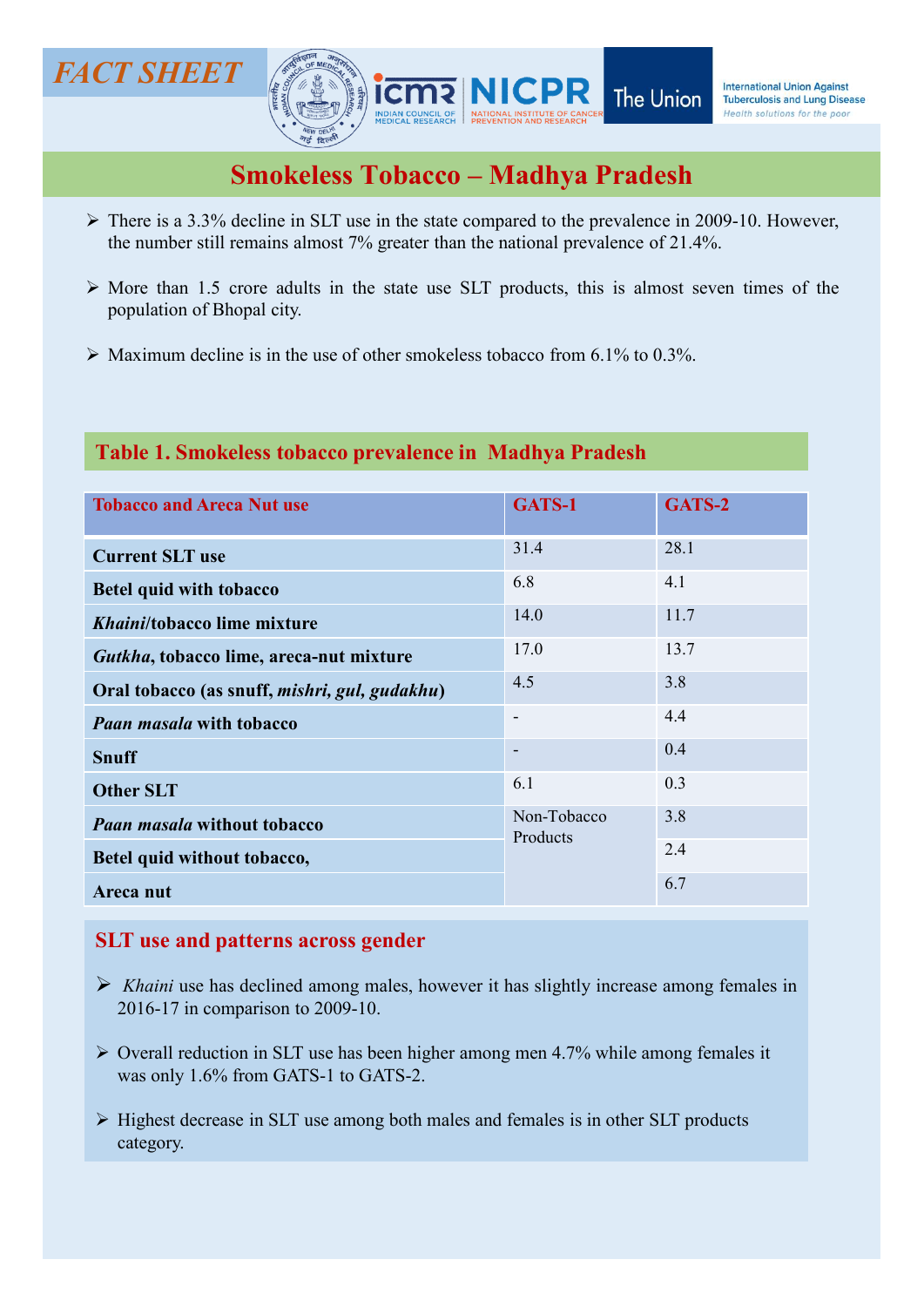# The Union  $\sum_{\text{the dimensional Union Against}}$ <br>  $\sum_{\text{The two global solution of the power}}$ <br>  $\sum_{\text{The two-dimensional solution of the power}}$ <br>  $\sum_{\text{The two-dimensional solution of the power}}$ <br>  $\sum_{\text{The two-dimensional solution of the power}}$ <br>  $\sum_{\text{The two-dimensional solution of the power}}$ <br>  $\sum_{\text{The two-dimensional solution of the power}}$ <br>  $\sum_{\text{The two-dimensional solution of the power}}$ <br>  $\sum_{\text{The two-dimensional solution of the power}}$ <br>  $\sum_{\text{The two-dimensional solution of the power}}$ <br>  $\sum_{\text{The two-dimensional solution of the power}}$ <br>  $\sum_{\text{The two-dimensional solution of the power}}$ T SHEET<br> **THERET ANTISEM INCORRELATE THE UNION Against Ling CONSTRAINS ARE ALMORED TO UNION A Against Ling Disease<br>
SMOKELESS TODACCO — Madhya Pradesh<br>
There is a 3.3% decline in SLT use in the state compared to the preva** MORE THE STREET<br>
MORE TO MACHINE THE Union International Union Against<br>
Smokeless Tobacco - Madhya Pradesh<br>
A There is a 3.3% decline in SLT use in the state compared to the prevalence in 2009-10. However,<br>
the number sti **Population of Bhopal city.**<br>
Maximum decline is in the use of other smokeless tobacco from 6.1% to 0.3%.<br>
Maximum decline is in the use of other smokeless tobacco from 6.1% to 0.3%.<br>
Maximum decline is in the use of othe Maximum decline is in the use of other smokeless tobacco from 6.1% to 0.3%.<br>
Table 1. Smokeless tobacco  $\frac{1}{2}$  and  $\frac{1}{2}$  and  $\frac{1}{2}$  and  $\frac{1}{2}$  are in the state compared to the prevalence in 2009-10. However,<br> FACT SHEET **FACT SHEET** Smokeless Tobacco – Madhya Pradesh<br>
Smokeless Tobacco – Madhya Pradesh<br>
Emains along the Structure of the south solutions for the poor<br>
Emains almost 7% greater than the national prevalence of 21.4%.

- 
- 
- 

# Table 1. Smokeless tobacco prevalence in Madhya Pradesh

|                                                                                                                                                                                                       |                          | <b>THE OTHOL!</b><br>Health solutions for the poor |
|-------------------------------------------------------------------------------------------------------------------------------------------------------------------------------------------------------|--------------------------|----------------------------------------------------|
| <b>Smokeless Tobacco – Madhya Pradesh</b>                                                                                                                                                             |                          |                                                    |
| $\triangleright$ There is a 3.3% decline in SLT use in the state compared to the prevalence in 2009-10. However,<br>the number still remains almost 7% greater than the national prevalence of 21.4%. |                          |                                                    |
| $\triangleright$ More than 1.5 crore adults in the state use SLT products, this is almost seven times of the<br>population of Bhopal city.                                                            |                          |                                                    |
| $\triangleright$ Maximum decline is in the use of other smokeless tobacco from 6.1% to 0.3%.                                                                                                          |                          |                                                    |
|                                                                                                                                                                                                       |                          |                                                    |
| Table 1. Smokeless tobacco prevalence in Madhya Pradesh                                                                                                                                               |                          |                                                    |
| <b>Tobacco and Areca Nut use</b>                                                                                                                                                                      | GATS-1                   | GATS-2                                             |
| <b>Current SLT use</b>                                                                                                                                                                                | 31.4                     | 28.1                                               |
| <b>Betel quid with tobacco</b>                                                                                                                                                                        | 6.8                      | 4.1                                                |
| Khaini/tobacco lime mixture                                                                                                                                                                           | 14.0                     | 11.7                                               |
| Gutkha, tobacco lime, areca-nut mixture                                                                                                                                                               | 17.0                     | 13.7                                               |
| Oral tobacco (as snuff, mishri, gul, gudakhu)                                                                                                                                                         | 4.5                      | 3.8                                                |
| <b>Paan masala with tobacco</b>                                                                                                                                                                       | $\overline{\phantom{a}}$ | 4.4                                                |
| <b>Snuff</b>                                                                                                                                                                                          | $\overline{\phantom{a}}$ | 0.4                                                |
| <b>Other SLT</b>                                                                                                                                                                                      | 6.1                      | 0.3                                                |
| <b>Paan masala without tobacco</b>                                                                                                                                                                    | Non-Tobacco<br>Products  | 3.8                                                |
| Betel quid without tobacco,                                                                                                                                                                           |                          | 2.4                                                |
| Areca nut                                                                                                                                                                                             |                          | 6.7                                                |
| <b>SLT</b> use and patterns across gender                                                                                                                                                             |                          |                                                    |
| $\triangleright$ Khaini use has declined among males, however it has slightly increase among females in<br>2016-17 in comparison to 2009-10.                                                          |                          |                                                    |
| $\triangleright$ Overall reduction in SLT use has been higher among men 4.7% while among females it<br>was only 1.6% from GATS-1 to GATS-2.                                                           |                          |                                                    |

- 
- $\triangleright$  Overall reduction in SLT use has been higher among men 4.7% while among females it was only 1.6% from GATS-1 to GATS-2.
- $\triangleright$  Highest decrease in SLT use among both males and females is in other SLT products category.